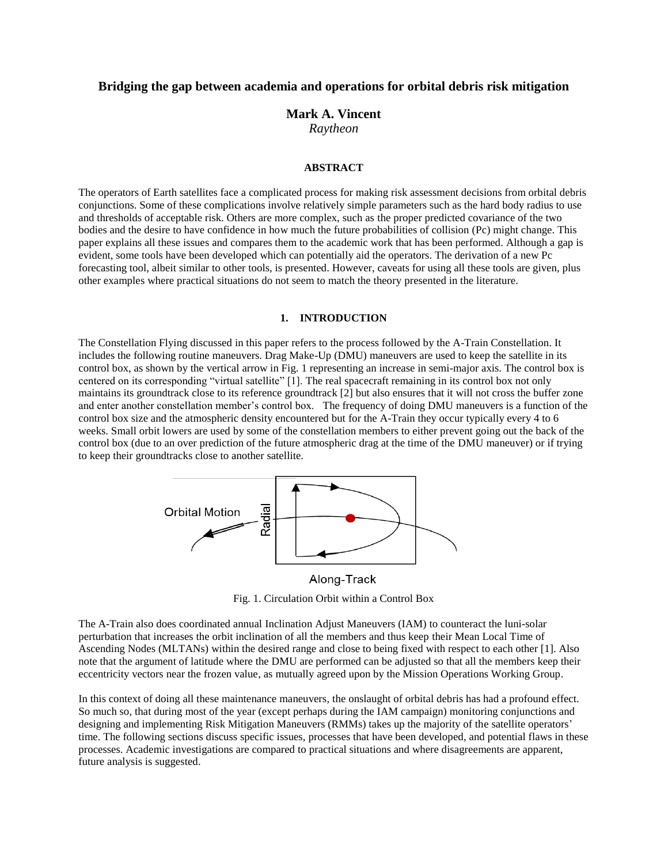# **Bridging the gap between academia and operations for orbital debris risk mitigation**

# **Mark A. Vincent** *Raytheon*

#### **ABSTRACT**

The operators of Earth satellites face a complicated process for making risk assessment decisions from orbital debris conjunctions. Some of these complications involve relatively simple parameters such as the hard body radius to use and thresholds of acceptable risk. Others are more complex, such as the proper predicted covariance of the two bodies and the desire to have confidence in how much the future probabilities of collision (Pc) might change. This paper explains all these issues and compares them to the academic work that has been performed. Although a gap is evident, some tools have been developed which can potentially aid the operators. The derivation of a new Pc forecasting tool, albeit similar to other tools, is presented. However, caveats for using all these tools are given, plus other examples where practical situations do not seem to match the theory presented in the literature.

## **1. INTRODUCTION**

The Constellation Flying discussed in this paper refers to the process followed by the A-Train Constellation. It includes the following routine maneuvers. Drag Make-Up (DMU) maneuvers are used to keep the satellite in its control box, as shown by the vertical arrow in Fig. 1 representing an increase in semi-major axis. The control box is centered on its corresponding "virtual satellite" [1]. The real spacecraft remaining in its control box not only maintains its groundtrack close to its reference groundtrack [2] but also ensures that it will not cross the buffer zone and enter another constellation member's control box. The frequency of doing DMU maneuvers is a function of the control box size and the atmospheric density encountered but for the A-Train they occur typically every 4 to 6 weeks. Small orbit lowers are used by some of the constellation members to either prevent going out the back of the control box (due to an over prediction of the future atmospheric drag at the time of the DMU maneuver) or if trying to keep their groundtracks close to another satellite.



Along-Track

Fig. 1. Circulation Orbit within a Control Box

The A-Train also does coordinated annual Inclination Adjust Maneuvers (IAM) to counteract the luni-solar perturbation that increases the orbit inclination of all the members and thus keep their Mean Local Time of Ascending Nodes (MLTANs) within the desired range and close to being fixed with respect to each other [1]. Also note that the argument of latitude where the DMU are performed can be adjusted so that all the members keep their eccentricity vectors near the frozen value, as mutually agreed upon by the Mission Operations Working Group.

In this context of doing all these maintenance maneuvers, the onslaught of orbital debris has had a profound effect. So much so, that during most of the year (except perhaps during the IAM campaign) monitoring conjunctions and designing and implementing Risk Mitigation Maneuvers (RMMs) takes up the majority of the satellite operators' time. The following sections discuss specific issues, processes that have been developed, and potential flaws in these processes. Academic investigations are compared to practical situations and where disagreements are apparent, future analysis is suggested.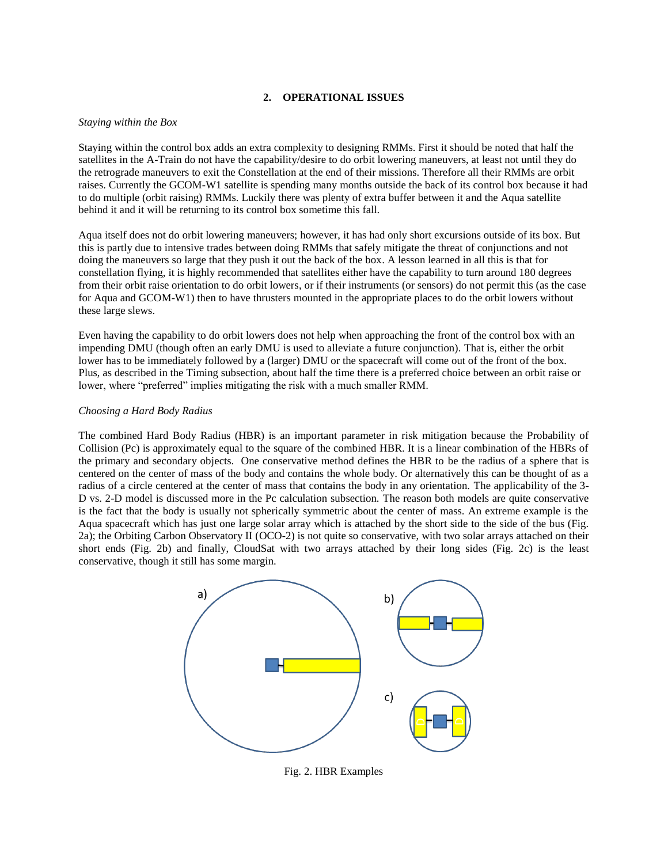# **2. OPERATIONAL ISSUES**

#### *Staying within the Box*

Staying within the control box adds an extra complexity to designing RMMs. First it should be noted that half the satellites in the A-Train do not have the capability/desire to do orbit lowering maneuvers, at least not until they do the retrograde maneuvers to exit the Constellation at the end of their missions. Therefore all their RMMs are orbit raises. Currently the GCOM-W1 satellite is spending many months outside the back of its control box because it had to do multiple (orbit raising) RMMs. Luckily there was plenty of extra buffer between it and the Aqua satellite behind it and it will be returning to its control box sometime this fall.

Aqua itself does not do orbit lowering maneuvers; however, it has had only short excursions outside of its box. But this is partly due to intensive trades between doing RMMs that safely mitigate the threat of conjunctions and not doing the maneuvers so large that they push it out the back of the box. A lesson learned in all this is that for constellation flying, it is highly recommended that satellites either have the capability to turn around 180 degrees from their orbit raise orientation to do orbit lowers, or if their instruments (or sensors) do not permit this (as the case for Aqua and GCOM-W1) then to have thrusters mounted in the appropriate places to do the orbit lowers without these large slews.

Even having the capability to do orbit lowers does not help when approaching the front of the control box with an impending DMU (though often an early DMU is used to alleviate a future conjunction). That is, either the orbit lower has to be immediately followed by a (larger) DMU or the spacecraft will come out of the front of the box. Plus, as described in the Timing subsection, about half the time there is a preferred choice between an orbit raise or lower, where "preferred" implies mitigating the risk with a much smaller RMM.

#### *Choosing a Hard Body Radius*

The combined Hard Body Radius (HBR) is an important parameter in risk mitigation because the Probability of Collision (Pc) is approximately equal to the square of the combined HBR. It is a linear combination of the HBRs of the primary and secondary objects. One conservative method defines the HBR to be the radius of a sphere that is centered on the center of mass of the body and contains the whole body. Or alternatively this can be thought of as a radius of a circle centered at the center of mass that contains the body in any orientation. The applicability of the 3- D vs. 2-D model is discussed more in the Pc calculation subsection. The reason both models are quite conservative is the fact that the body is usually not spherically symmetric about the center of mass. An extreme example is the Aqua spacecraft which has just one large solar array which is attached by the short side to the side of the bus (Fig. 2a); the Orbiting Carbon Observatory II (OCO-2) is not quite so conservative, with two solar arrays attached on their short ends (Fig. 2b) and finally, CloudSat with two arrays attached by their long sides (Fig. 2c) is the least conservative, though it still has some margin.



Fig. 2. HBR Examples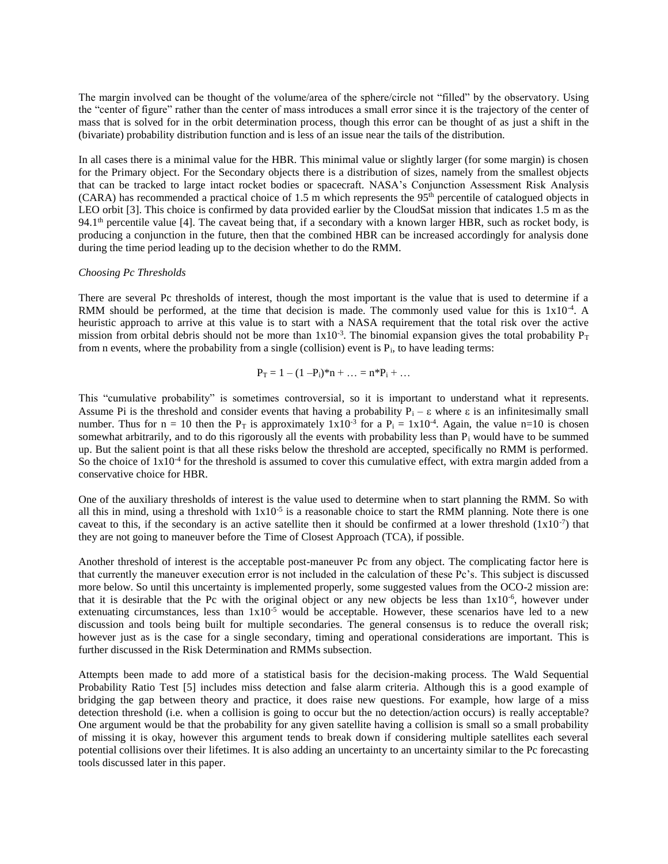The margin involved can be thought of the volume/area of the sphere/circle not "filled" by the observatory. Using the "center of figure" rather than the center of mass introduces a small error since it is the trajectory of the center of mass that is solved for in the orbit determination process, though this error can be thought of as just a shift in the (bivariate) probability distribution function and is less of an issue near the tails of the distribution.

In all cases there is a minimal value for the HBR. This minimal value or slightly larger (for some margin) is chosen for the Primary object. For the Secondary objects there is a distribution of sizes, namely from the smallest objects that can be tracked to large intact rocket bodies or spacecraft. NASA's Conjunction Assessment Risk Analysis  $(CARA)$  has recommended a practical choice of 1.5 m which represents the 95<sup>th</sup> percentile of catalogued objects in LEO orbit [3]. This choice is confirmed by data provided earlier by the CloudSat mission that indicates 1.5 m as the 94.1<sup>th</sup> percentile value [4]. The caveat being that, if a secondary with a known larger HBR, such as rocket body, is producing a conjunction in the future, then that the combined HBR can be increased accordingly for analysis done during the time period leading up to the decision whether to do the RMM.

#### *Choosing Pc Thresholds*

There are several Pc thresholds of interest, though the most important is the value that is used to determine if a RMM should be performed, at the time that decision is made. The commonly used value for this is  $1x10^{-4}$ . A heuristic approach to arrive at this value is to start with a NASA requirement that the total risk over the active mission from orbital debris should not be more than  $1x10^{-3}$ . The binomial expansion gives the total probability  $P_T$ from n events, where the probability from a single (collision) event is  $P_i$ , to have leading terms:

$$
P_T = 1 - (1 - P_i)^* n + \ldots = n^* P_i + \ldots
$$

This "cumulative probability" is sometimes controversial, so it is important to understand what it represents. Assume Pi is the threshold and consider events that having a probability  $P_i - \varepsilon$  where  $\varepsilon$  is an infinitesimally small number. Thus for  $n = 10$  then the  $P_T$  is approximately  $1 \times 10^{-3}$  for a  $P_i = 1 \times 10^{-4}$ . Again, the value n=10 is chosen somewhat arbitrarily, and to do this rigorously all the events with probability less than  $P_i$  would have to be summed up. But the salient point is that all these risks below the threshold are accepted, specifically no RMM is performed. So the choice of  $1x10^{-4}$  for the threshold is assumed to cover this cumulative effect, with extra margin added from a conservative choice for HBR.

One of the auxiliary thresholds of interest is the value used to determine when to start planning the RMM. So with all this in mind, using a threshold with  $1x10^{-5}$  is a reasonable choice to start the RMM planning. Note there is one caveat to this, if the secondary is an active satellite then it should be confirmed at a lower threshold  $(1x10^{-7})$  that they are not going to maneuver before the Time of Closest Approach (TCA), if possible.

Another threshold of interest is the acceptable post-maneuver Pc from any object. The complicating factor here is that currently the maneuver execution error is not included in the calculation of these Pc's. This subject is discussed more below. So until this uncertainty is implemented properly, some suggested values from the OCO-2 mission are: that it is desirable that the Pc with the original object or any new objects be less than  $1x10^{-6}$ , however under extenuating circumstances, less than  $1x10^{-5}$  would be acceptable. However, these scenarios have led to a new discussion and tools being built for multiple secondaries. The general consensus is to reduce the overall risk; however just as is the case for a single secondary, timing and operational considerations are important. This is further discussed in the Risk Determination and RMMs subsection.

Attempts been made to add more of a statistical basis for the decision-making process. The Wald Sequential Probability Ratio Test [5] includes miss detection and false alarm criteria. Although this is a good example of bridging the gap between theory and practice, it does raise new questions. For example, how large of a miss detection threshold (i.e. when a collision is going to occur but the no detection/action occurs) is really acceptable? One argument would be that the probability for any given satellite having a collision is small so a small probability of missing it is okay, however this argument tends to break down if considering multiple satellites each several potential collisions over their lifetimes. It is also adding an uncertainty to an uncertainty similar to the Pc forecasting tools discussed later in this paper.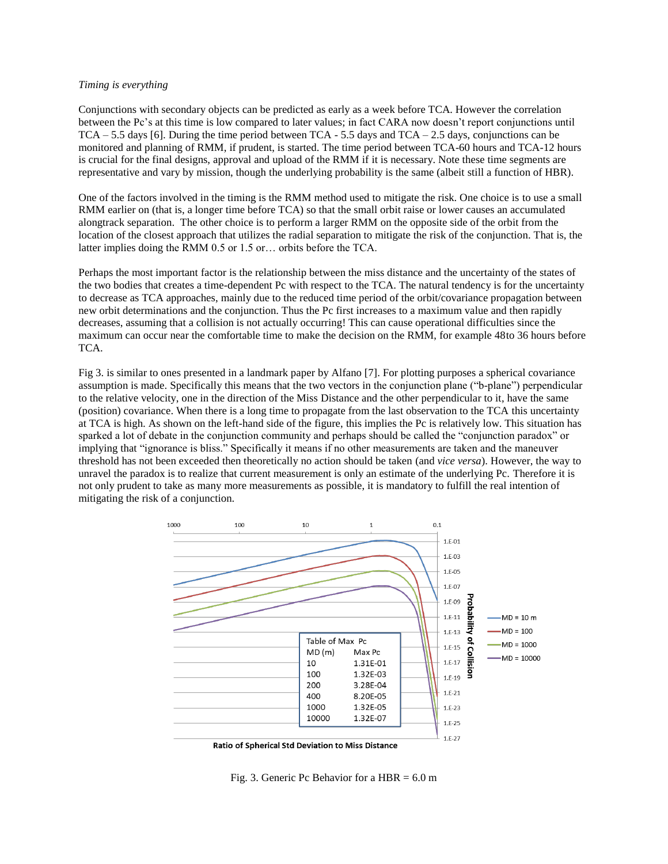### *Timing is everything*

Conjunctions with secondary objects can be predicted as early as a week before TCA. However the correlation between the Pc's at this time is low compared to later values; in fact CARA now doesn't report conjunctions until  $TCA - 5.5$  days [6]. During the time period between  $TCA - 5.5$  days and  $TCA - 2.5$  days, conjunctions can be monitored and planning of RMM, if prudent, is started. The time period between TCA-60 hours and TCA-12 hours is crucial for the final designs, approval and upload of the RMM if it is necessary. Note these time segments are representative and vary by mission, though the underlying probability is the same (albeit still a function of HBR).

One of the factors involved in the timing is the RMM method used to mitigate the risk. One choice is to use a small RMM earlier on (that is, a longer time before TCA) so that the small orbit raise or lower causes an accumulated alongtrack separation. The other choice is to perform a larger RMM on the opposite side of the orbit from the location of the closest approach that utilizes the radial separation to mitigate the risk of the conjunction. That is, the latter implies doing the RMM 0.5 or 1.5 or… orbits before the TCA.

Perhaps the most important factor is the relationship between the miss distance and the uncertainty of the states of the two bodies that creates a time-dependent Pc with respect to the TCA. The natural tendency is for the uncertainty to decrease as TCA approaches, mainly due to the reduced time period of the orbit/covariance propagation between new orbit determinations and the conjunction. Thus the Pc first increases to a maximum value and then rapidly decreases, assuming that a collision is not actually occurring! This can cause operational difficulties since the maximum can occur near the comfortable time to make the decision on the RMM, for example 48to 36 hours before TCA.

Fig 3. is similar to ones presented in a landmark paper by Alfano [7]. For plotting purposes a spherical covariance assumption is made. Specifically this means that the two vectors in the conjunction plane ("b-plane") perpendicular to the relative velocity, one in the direction of the Miss Distance and the other perpendicular to it, have the same (position) covariance. When there is a long time to propagate from the last observation to the TCA this uncertainty at TCA is high. As shown on the left-hand side of the figure, this implies the Pc is relatively low. This situation has sparked a lot of debate in the conjunction community and perhaps should be called the "conjunction paradox" or implying that "ignorance is bliss." Specifically it means if no other measurements are taken and the maneuver threshold has not been exceeded then theoretically no action should be taken (and *vice versa*). However, the way to unravel the paradox is to realize that current measurement is only an estimate of the underlying Pc. Therefore it is not only prudent to take as many more measurements as possible, it is mandatory to fulfill the real intention of mitigating the risk of a conjunction.



Ratio of Spherical Std Deviation to Miss Distance

Fig. 3. Generic Pc Behavior for a  $HBR = 6.0$  m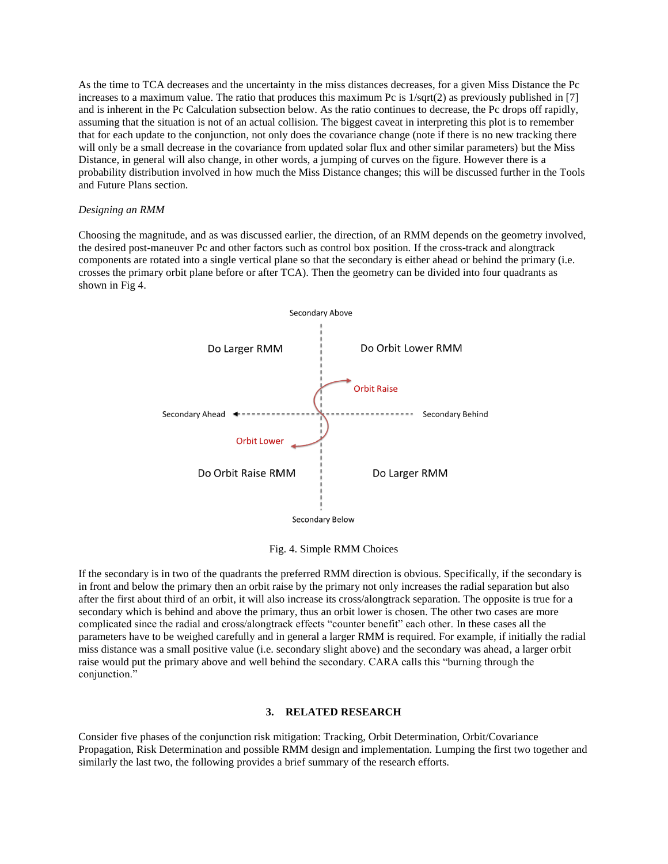As the time to TCA decreases and the uncertainty in the miss distances decreases, for a given Miss Distance the Pc increases to a maximum value. The ratio that produces this maximum Pc is  $1/\sqrt{(2)}$  as previously published in [7] and is inherent in the Pc Calculation subsection below. As the ratio continues to decrease, the Pc drops off rapidly, assuming that the situation is not of an actual collision. The biggest caveat in interpreting this plot is to remember that for each update to the conjunction, not only does the covariance change (note if there is no new tracking there will only be a small decrease in the covariance from updated solar flux and other similar parameters) but the Miss Distance, in general will also change, in other words, a jumping of curves on the figure. However there is a probability distribution involved in how much the Miss Distance changes; this will be discussed further in the Tools and Future Plans section.

#### *Designing an RMM*

Choosing the magnitude, and as was discussed earlier, the direction, of an RMM depends on the geometry involved, the desired post-maneuver Pc and other factors such as control box position. If the cross-track and alongtrack components are rotated into a single vertical plane so that the secondary is either ahead or behind the primary (i.e. crosses the primary orbit plane before or after TCA). Then the geometry can be divided into four quadrants as shown in Fig 4.



Fig. 4. Simple RMM Choices

If the secondary is in two of the quadrants the preferred RMM direction is obvious. Specifically, if the secondary is in front and below the primary then an orbit raise by the primary not only increases the radial separation but also after the first about third of an orbit, it will also increase its cross/alongtrack separation. The opposite is true for a secondary which is behind and above the primary, thus an orbit lower is chosen. The other two cases are more complicated since the radial and cross/alongtrack effects "counter benefit" each other. In these cases all the parameters have to be weighed carefully and in general a larger RMM is required. For example, if initially the radial miss distance was a small positive value (i.e. secondary slight above) and the secondary was ahead, a larger orbit raise would put the primary above and well behind the secondary. CARA calls this "burning through the conjunction."

## **3. RELATED RESEARCH**

Consider five phases of the conjunction risk mitigation: Tracking, Orbit Determination, Orbit/Covariance Propagation, Risk Determination and possible RMM design and implementation. Lumping the first two together and similarly the last two, the following provides a brief summary of the research efforts.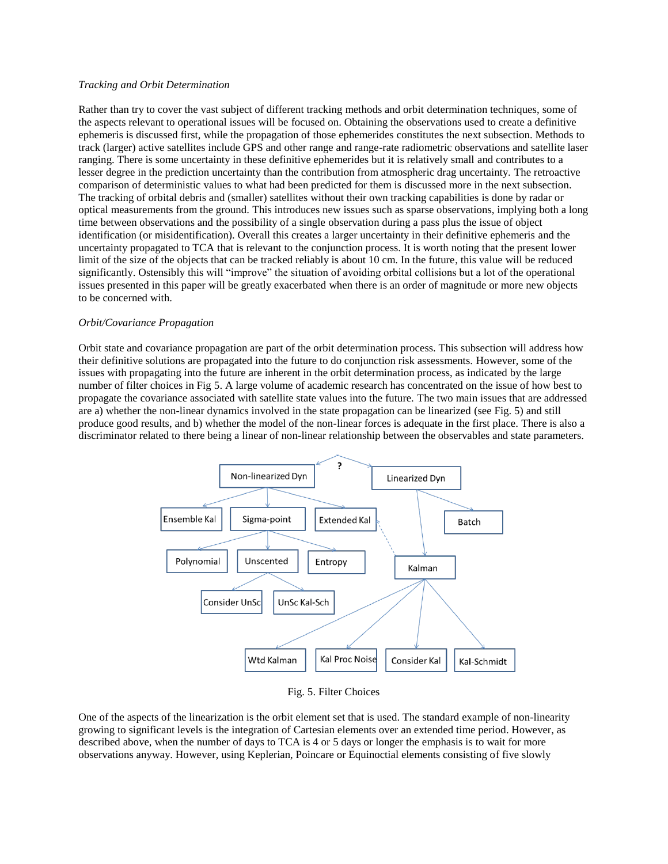### *Tracking and Orbit Determination*

Rather than try to cover the vast subject of different tracking methods and orbit determination techniques, some of the aspects relevant to operational issues will be focused on. Obtaining the observations used to create a definitive ephemeris is discussed first, while the propagation of those ephemerides constitutes the next subsection. Methods to track (larger) active satellites include GPS and other range and range-rate radiometric observations and satellite laser ranging. There is some uncertainty in these definitive ephemerides but it is relatively small and contributes to a lesser degree in the prediction uncertainty than the contribution from atmospheric drag uncertainty. The retroactive comparison of deterministic values to what had been predicted for them is discussed more in the next subsection. The tracking of orbital debris and (smaller) satellites without their own tracking capabilities is done by radar or optical measurements from the ground. This introduces new issues such as sparse observations, implying both a long time between observations and the possibility of a single observation during a pass plus the issue of object identification (or misidentification). Overall this creates a larger uncertainty in their definitive ephemeris and the uncertainty propagated to TCA that is relevant to the conjunction process. It is worth noting that the present lower limit of the size of the objects that can be tracked reliably is about 10 cm. In the future, this value will be reduced significantly. Ostensibly this will "improve" the situation of avoiding orbital collisions but a lot of the operational issues presented in this paper will be greatly exacerbated when there is an order of magnitude or more new objects to be concerned with.

# *Orbit/Covariance Propagation*

Orbit state and covariance propagation are part of the orbit determination process. This subsection will address how their definitive solutions are propagated into the future to do conjunction risk assessments. However, some of the issues with propagating into the future are inherent in the orbit determination process, as indicated by the large number of filter choices in Fig 5. A large volume of academic research has concentrated on the issue of how best to propagate the covariance associated with satellite state values into the future. The two main issues that are addressed are a) whether the non-linear dynamics involved in the state propagation can be linearized (see Fig. 5) and still produce good results, and b) whether the model of the non-linear forces is adequate in the first place. There is also a discriminator related to there being a linear of non-linear relationship between the observables and state parameters.



### Fig. 5. Filter Choices

One of the aspects of the linearization is the orbit element set that is used. The standard example of non-linearity growing to significant levels is the integration of Cartesian elements over an extended time period. However, as described above, when the number of days to TCA is 4 or 5 days or longer the emphasis is to wait for more observations anyway. However, using Keplerian, Poincare or Equinoctial elements consisting of five slowly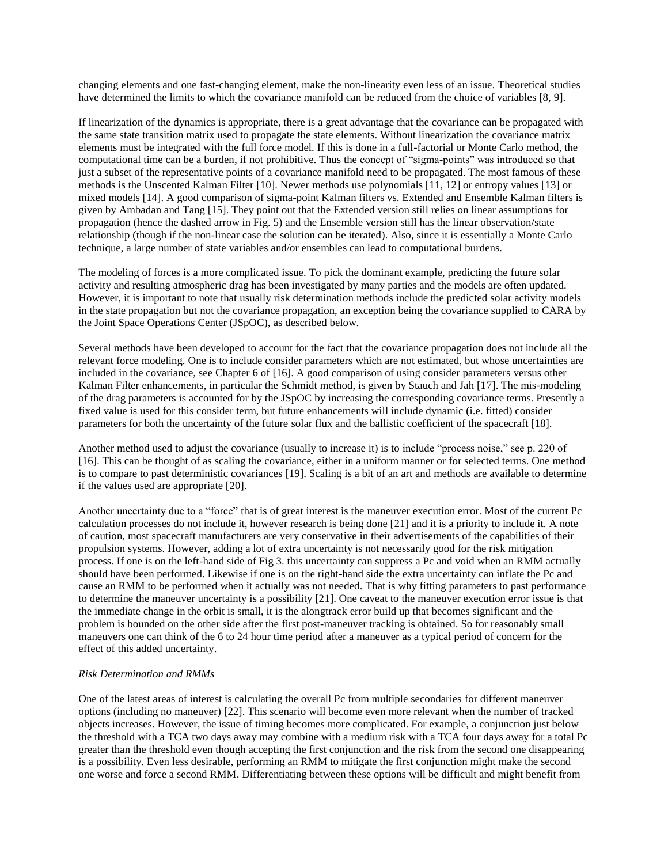changing elements and one fast-changing element, make the non-linearity even less of an issue. Theoretical studies have determined the limits to which the covariance manifold can be reduced from the choice of variables [8, 9].

If linearization of the dynamics is appropriate, there is a great advantage that the covariance can be propagated with the same state transition matrix used to propagate the state elements. Without linearization the covariance matrix elements must be integrated with the full force model. If this is done in a full-factorial or Monte Carlo method, the computational time can be a burden, if not prohibitive. Thus the concept of "sigma-points" was introduced so that just a subset of the representative points of a covariance manifold need to be propagated. The most famous of these methods is the Unscented Kalman Filter [10]. Newer methods use polynomials [11, 12] or entropy values [13] or mixed models [14]. A good comparison of sigma-point Kalman filters vs. Extended and Ensemble Kalman filters is given by Ambadan and Tang [15]. They point out that the Extended version still relies on linear assumptions for propagation (hence the dashed arrow in Fig. 5) and the Ensemble version still has the linear observation/state relationship (though if the non-linear case the solution can be iterated). Also, since it is essentially a Monte Carlo technique, a large number of state variables and/or ensembles can lead to computational burdens.

The modeling of forces is a more complicated issue. To pick the dominant example, predicting the future solar activity and resulting atmospheric drag has been investigated by many parties and the models are often updated. However, it is important to note that usually risk determination methods include the predicted solar activity models in the state propagation but not the covariance propagation, an exception being the covariance supplied to CARA by the Joint Space Operations Center (JSpOC), as described below.

Several methods have been developed to account for the fact that the covariance propagation does not include all the relevant force modeling. One is to include consider parameters which are not estimated, but whose uncertainties are included in the covariance, see Chapter 6 of [16]. A good comparison of using consider parameters versus other Kalman Filter enhancements, in particular the Schmidt method, is given by Stauch and Jah [17]. The mis-modeling of the drag parameters is accounted for by the JSpOC by increasing the corresponding covariance terms. Presently a fixed value is used for this consider term, but future enhancements will include dynamic (i.e. fitted) consider parameters for both the uncertainty of the future solar flux and the ballistic coefficient of the spacecraft [18].

Another method used to adjust the covariance (usually to increase it) is to include "process noise," see p. 220 of [16]. This can be thought of as scaling the covariance, either in a uniform manner or for selected terms. One method is to compare to past deterministic covariances [19]. Scaling is a bit of an art and methods are available to determine if the values used are appropriate [20].

Another uncertainty due to a "force" that is of great interest is the maneuver execution error. Most of the current Pc calculation processes do not include it, however research is being done [21] and it is a priority to include it. A note of caution, most spacecraft manufacturers are very conservative in their advertisements of the capabilities of their propulsion systems. However, adding a lot of extra uncertainty is not necessarily good for the risk mitigation process. If one is on the left-hand side of Fig 3. this uncertainty can suppress a Pc and void when an RMM actually should have been performed. Likewise if one is on the right-hand side the extra uncertainty can inflate the Pc and cause an RMM to be performed when it actually was not needed. That is why fitting parameters to past performance to determine the maneuver uncertainty is a possibility [21]. One caveat to the maneuver execution error issue is that the immediate change in the orbit is small, it is the alongtrack error build up that becomes significant and the problem is bounded on the other side after the first post-maneuver tracking is obtained. So for reasonably small maneuvers one can think of the 6 to 24 hour time period after a maneuver as a typical period of concern for the effect of this added uncertainty.

## *Risk Determination and RMMs*

One of the latest areas of interest is calculating the overall Pc from multiple secondaries for different maneuver options (including no maneuver) [22]. This scenario will become even more relevant when the number of tracked objects increases. However, the issue of timing becomes more complicated. For example, a conjunction just below the threshold with a TCA two days away may combine with a medium risk with a TCA four days away for a total Pc greater than the threshold even though accepting the first conjunction and the risk from the second one disappearing is a possibility. Even less desirable, performing an RMM to mitigate the first conjunction might make the second one worse and force a second RMM. Differentiating between these options will be difficult and might benefit from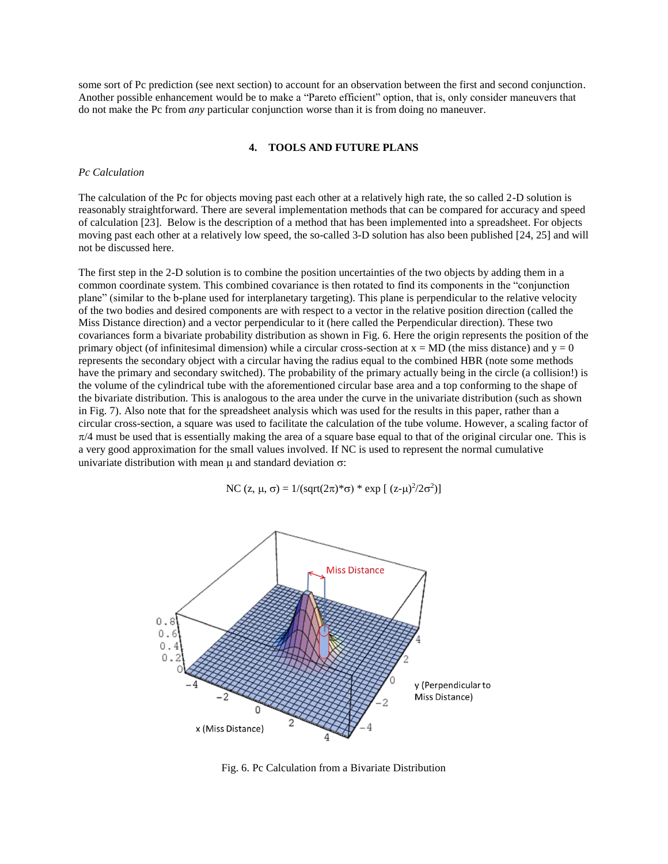some sort of Pc prediction (see next section) to account for an observation between the first and second conjunction. Another possible enhancement would be to make a "Pareto efficient" option, that is, only consider maneuvers that do not make the Pc from *any* particular conjunction worse than it is from doing no maneuver.

#### **4. TOOLS AND FUTURE PLANS**

#### *Pc Calculation*

The calculation of the Pc for objects moving past each other at a relatively high rate, the so called 2-D solution is reasonably straightforward. There are several implementation methods that can be compared for accuracy and speed of calculation [23]. Below is the description of a method that has been implemented into a spreadsheet. For objects moving past each other at a relatively low speed, the so-called 3-D solution has also been published [24, 25] and will not be discussed here.

The first step in the 2-D solution is to combine the position uncertainties of the two objects by adding them in a common coordinate system. This combined covariance is then rotated to find its components in the "conjunction plane" (similar to the b-plane used for interplanetary targeting). This plane is perpendicular to the relative velocity of the two bodies and desired components are with respect to a vector in the relative position direction (called the Miss Distance direction) and a vector perpendicular to it (here called the Perpendicular direction). These two covariances form a bivariate probability distribution as shown in Fig. 6. Here the origin represents the position of the primary object (of infinitesimal dimension) while a circular cross-section at  $x = MD$  (the miss distance) and  $y = 0$ represents the secondary object with a circular having the radius equal to the combined HBR (note some methods have the primary and secondary switched). The probability of the primary actually being in the circle (a collision!) is the volume of the cylindrical tube with the aforementioned circular base area and a top conforming to the shape of the bivariate distribution. This is analogous to the area under the curve in the univariate distribution (such as shown in Fig. 7). Also note that for the spreadsheet analysis which was used for the results in this paper, rather than a circular cross-section, a square was used to facilitate the calculation of the tube volume. However, a scaling factor of  $\pi/4$  must be used that is essentially making the area of a square base equal to that of the original circular one. This is a very good approximation for the small values involved. If NC is used to represent the normal cumulative univariate distribution with mean  $\mu$  and standard deviation  $\sigma$ :

NC (z,  $\mu$ ,  $\sigma$ ) = 1/(sqrt(2 $\pi$ )\* $\sigma$ ) \* exp [(z- $\mu$ )<sup>2</sup>/2 $\sigma$ <sup>2</sup>)]



Fig. 6. Pc Calculation from a Bivariate Distribution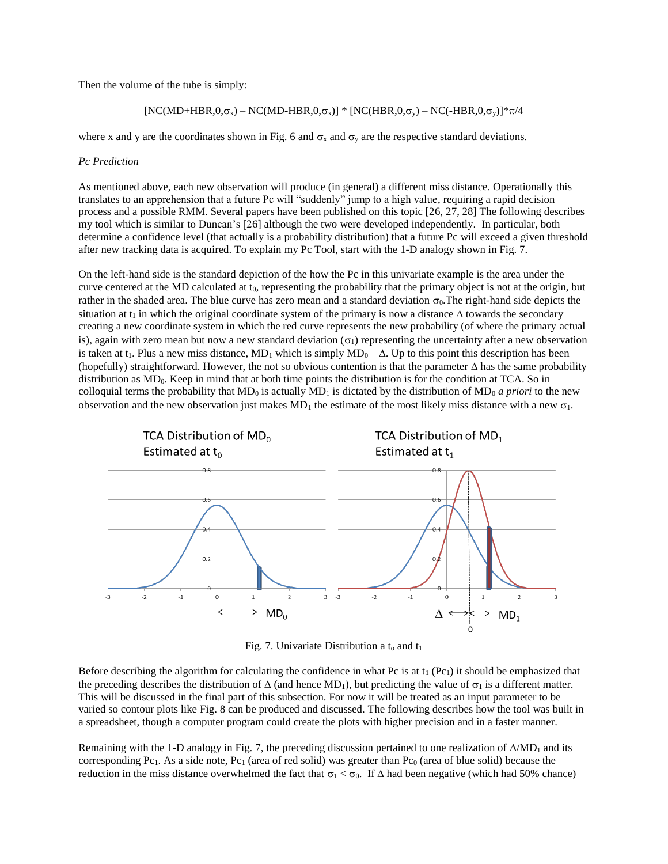Then the volume of the tube is simply:

$$
[NC(MD+HBR,0,\sigma_x) - NC(MD-HBR,0,\sigma_x)] * [NC(HBR,0,\sigma_y) - NC(-HBR,0,\sigma_y)] * \pi/4
$$

where x and y are the coordinates shown in Fig. 6 and  $\sigma_x$  and  $\sigma_y$  are the respective standard deviations.

# *Pc Prediction*

As mentioned above, each new observation will produce (in general) a different miss distance. Operationally this translates to an apprehension that a future Pc will "suddenly" jump to a high value, requiring a rapid decision process and a possible RMM. Several papers have been published on this topic [26, 27, 28] The following describes my tool which is similar to Duncan's [26] although the two were developed independently. In particular, both determine a confidence level (that actually is a probability distribution) that a future Pc will exceed a given threshold after new tracking data is acquired. To explain my Pc Tool, start with the 1-D analogy shown in Fig. 7.

On the left-hand side is the standard depiction of the how the Pc in this univariate example is the area under the curve centered at the MD calculated at t<sub>0</sub>, representing the probability that the primary object is not at the origin, but rather in the shaded area. The blue curve has zero mean and a standard deviation  $\sigma_0$ . The right-hand side depicts the situation at t<sub>1</sub> in which the original coordinate system of the primary is now a distance  $\Delta$  towards the secondary creating a new coordinate system in which the red curve represents the new probability (of where the primary actual is), again with zero mean but now a new standard deviation  $(\sigma_1)$  representing the uncertainty after a new observation is taken at t<sub>1</sub>. Plus a new miss distance, MD<sub>1</sub> which is simply  $MD_0 - \Delta$ . Up to this point this description has been (hopefully) straightforward. However, the not so obvious contention is that the parameter  $\Delta$  has the same probability distribution as MD<sub>0</sub>. Keep in mind that at both time points the distribution is for the condition at TCA. So in colloquial terms the probability that  $MD_0$  is actually  $MD_1$  is dictated by the distribution of  $MD_0$  *a priori* to the new observation and the new observation just makes  $MD_1$  the estimate of the most likely miss distance with a new  $\sigma_1$ .



Fig. 7. Univariate Distribution a  $t_0$  and  $t_1$ 

Before describing the algorithm for calculating the confidence in what Pc is at  $t_1$  (Pc<sub>1</sub>) it should be emphasized that the preceding describes the distribution of  $\Delta$  (and hence MD<sub>1</sub>), but predicting the value of  $\sigma_1$  is a different matter. This will be discussed in the final part of this subsection. For now it will be treated as an input parameter to be varied so contour plots like Fig. 8 can be produced and discussed. The following describes how the tool was built in a spreadsheet, though a computer program could create the plots with higher precision and in a faster manner.

Remaining with the 1-D analogy in Fig. 7, the preceding discussion pertained to one realization of  $\Delta M D_1$  and its corresponding Pc<sub>1</sub>. As a side note, Pc<sub>1</sub> (area of red solid) was greater than Pc<sub>0</sub> (area of blue solid) because the reduction in the miss distance overwhelmed the fact that  $\sigma_1 < \sigma_0$ . If  $\Delta$  had been negative (which had 50% chance)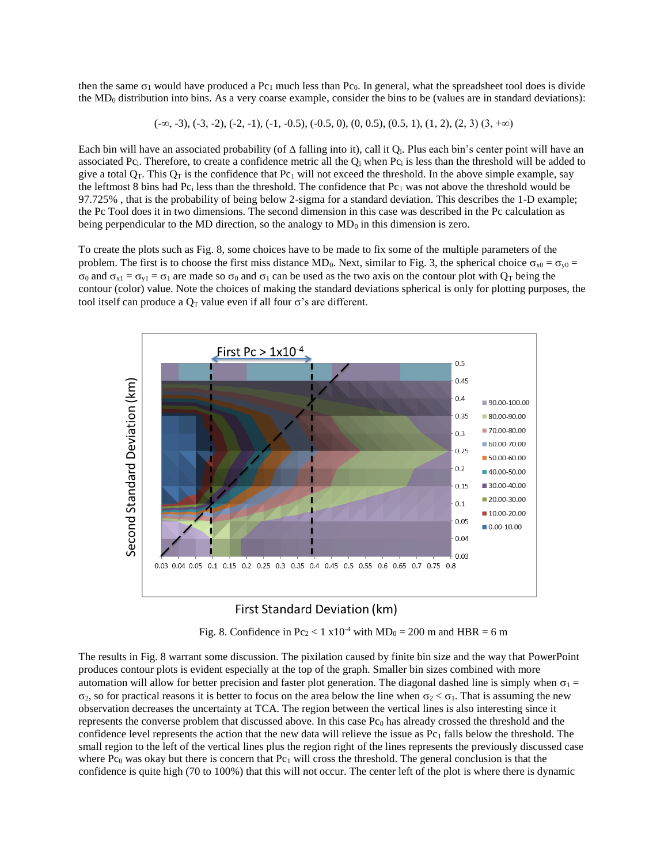then the same  $\sigma_1$  would have produced a Pc<sub>1</sub> much less than Pc<sub>0</sub>. In general, what the spreadsheet tool does is divide the  $MD<sub>0</sub>$  distribution into bins. As a very coarse example, consider the bins to be (values are in standard deviations):

$$
(-\infty, -3), (-3, -2), (-2, -1), (-1, -0.5), (-0.5, 0), (0, 0.5), (0.5, 1), (1, 2), (2, 3), (3, +\infty)
$$

Each bin will have an associated probability (of  $\Delta$  falling into it), call it Q<sub>i</sub>. Plus each bin's center point will have an associated Pc<sub>i</sub>. Therefore, to create a confidence metric all the Q<sub>i</sub> when Pc<sub>i</sub> is less than the threshold will be added to give a total  $Q_T$ . This  $Q_T$  is the confidence that  $Pc_1$  will not exceed the threshold. In the above simple example, say the leftmost 8 bins had Pc<sub>i</sub> less than the threshold. The confidence that Pc<sub>1</sub> was not above the threshold would be 97.725% , that is the probability of being below 2-sigma for a standard deviation. This describes the 1-D example; the Pc Tool does it in two dimensions. The second dimension in this case was described in the Pc calculation as being perpendicular to the MD direction, so the analogy to  $MD<sub>0</sub>$  in this dimension is zero.

To create the plots such as Fig. 8, some choices have to be made to fix some of the multiple parameters of the problem. The first is to choose the first miss distance MD<sub>0</sub>. Next, similar to Fig. 3, the spherical choice  $\sigma_{x0} = \sigma_{y0}$  =  $\sigma_0$  and  $\sigma_{x1} = \sigma_{y1} = \sigma_1$  are made so  $\sigma_0$  and  $\sigma_1$  can be used as the two axis on the contour plot with  $Q_T$  being the contour (color) value. Note the choices of making the standard deviations spherical is only for plotting purposes, the tool itself can produce a  $Q_T$  value even if all four  $\sigma$ 's are different.



# First Standard Deviation (km)

Fig. 8. Confidence in  $Pc_2 < 1 \times 10^{-4}$  with  $MD_0 = 200$  m and  $HBR = 6$  m

The results in Fig. 8 warrant some discussion. The pixilation caused by finite bin size and the way that PowerPoint produces contour plots is evident especially at the top of the graph. Smaller bin sizes combined with more automation will allow for better precision and faster plot generation. The diagonal dashed line is simply when  $\sigma_1$  =  $\sigma_2$ , so for practical reasons it is better to focus on the area below the line when  $\sigma_2 < \sigma_1$ . That is assuming the new observation decreases the uncertainty at TCA. The region between the vertical lines is also interesting since it represents the converse problem that discussed above. In this case  $Pc_0$  has already crossed the threshold and the confidence level represents the action that the new data will relieve the issue as  $Pc_1$  falls below the threshold. The small region to the left of the vertical lines plus the region right of the lines represents the previously discussed case where Pc<sub>0</sub> was okay but there is concern that Pc<sub>1</sub> will cross the threshold. The general conclusion is that the confidence is quite high (70 to 100%) that this will not occur. The center left of the plot is where there is dynamic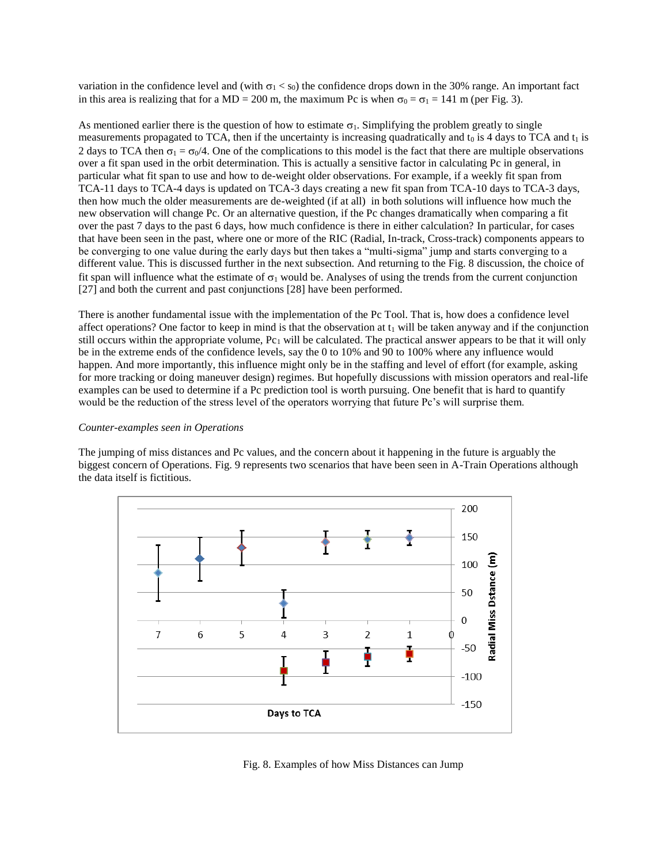variation in the confidence level and (with  $\sigma_1 < s_0$ ) the confidence drops down in the 30% range. An important fact in this area is realizing that for a MD = 200 m, the maximum Pc is when  $\sigma_0 = \sigma_1 = 141$  m (per Fig. 3).

As mentioned earlier there is the question of how to estimate  $\sigma_1$ . Simplifying the problem greatly to single measurements propagated to TCA, then if the uncertainty is increasing quadratically and  $t_0$  is 4 days to TCA and  $t_1$  is 2 days to TCA then  $\sigma_1 = \sigma_0/4$ . One of the complications to this model is the fact that there are multiple observations over a fit span used in the orbit determination. This is actually a sensitive factor in calculating Pc in general, in particular what fit span to use and how to de-weight older observations. For example, if a weekly fit span from TCA-11 days to TCA-4 days is updated on TCA-3 days creating a new fit span from TCA-10 days to TCA-3 days, then how much the older measurements are de-weighted (if at all) in both solutions will influence how much the new observation will change Pc. Or an alternative question, if the Pc changes dramatically when comparing a fit over the past 7 days to the past 6 days, how much confidence is there in either calculation? In particular, for cases that have been seen in the past, where one or more of the RIC (Radial, In-track, Cross-track) components appears to be converging to one value during the early days but then takes a "multi-sigma" jump and starts converging to a different value. This is discussed further in the next subsection. And returning to the Fig. 8 discussion, the choice of fit span will influence what the estimate of  $\sigma_1$  would be. Analyses of using the trends from the current conjunction [27] and both the current and past conjunctions [28] have been performed.

There is another fundamental issue with the implementation of the Pc Tool. That is, how does a confidence level affect operations? One factor to keep in mind is that the observation at  $t_1$  will be taken anyway and if the conjunction still occurs within the appropriate volume,  $Pc_1$  will be calculated. The practical answer appears to be that it will only be in the extreme ends of the confidence levels, say the 0 to 10% and 90 to 100% where any influence would happen. And more importantly, this influence might only be in the staffing and level of effort (for example, asking for more tracking or doing maneuver design) regimes. But hopefully discussions with mission operators and real-life examples can be used to determine if a Pc prediction tool is worth pursuing. One benefit that is hard to quantify would be the reduction of the stress level of the operators worrying that future Pc's will surprise them.

#### *Counter-examples seen in Operations*

The jumping of miss distances and Pc values, and the concern about it happening in the future is arguably the biggest concern of Operations. Fig. 9 represents two scenarios that have been seen in A-Train Operations although the data itself is fictitious.



Fig. 8. Examples of how Miss Distances can Jump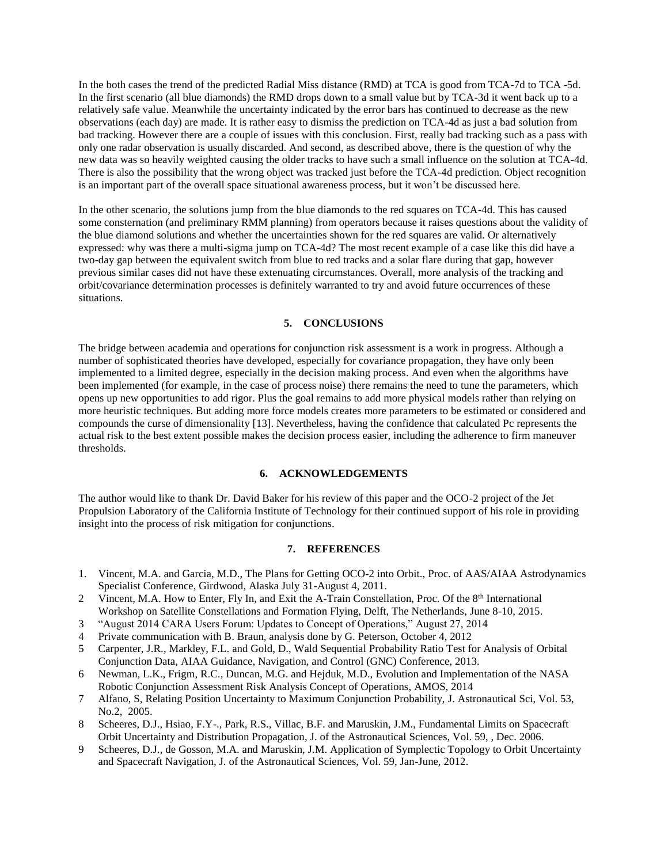In the both cases the trend of the predicted Radial Miss distance (RMD) at TCA is good from TCA-7d to TCA -5d. In the first scenario (all blue diamonds) the RMD drops down to a small value but by TCA-3d it went back up to a relatively safe value. Meanwhile the uncertainty indicated by the error bars has continued to decrease as the new observations (each day) are made. It is rather easy to dismiss the prediction on TCA-4d as just a bad solution from bad tracking. However there are a couple of issues with this conclusion. First, really bad tracking such as a pass with only one radar observation is usually discarded. And second, as described above, there is the question of why the new data was so heavily weighted causing the older tracks to have such a small influence on the solution at TCA-4d. There is also the possibility that the wrong object was tracked just before the TCA-4d prediction. Object recognition is an important part of the overall space situational awareness process, but it won't be discussed here.

In the other scenario, the solutions jump from the blue diamonds to the red squares on TCA-4d. This has caused some consternation (and preliminary RMM planning) from operators because it raises questions about the validity of the blue diamond solutions and whether the uncertainties shown for the red squares are valid. Or alternatively expressed: why was there a multi-sigma jump on TCA-4d? The most recent example of a case like this did have a two-day gap between the equivalent switch from blue to red tracks and a solar flare during that gap, however previous similar cases did not have these extenuating circumstances. Overall, more analysis of the tracking and orbit/covariance determination processes is definitely warranted to try and avoid future occurrences of these situations.

# **5. CONCLUSIONS**

The bridge between academia and operations for conjunction risk assessment is a work in progress. Although a number of sophisticated theories have developed, especially for covariance propagation, they have only been implemented to a limited degree, especially in the decision making process. And even when the algorithms have been implemented (for example, in the case of process noise) there remains the need to tune the parameters, which opens up new opportunities to add rigor. Plus the goal remains to add more physical models rather than relying on more heuristic techniques. But adding more force models creates more parameters to be estimated or considered and compounds the curse of dimensionality [13]. Nevertheless, having the confidence that calculated Pc represents the actual risk to the best extent possible makes the decision process easier, including the adherence to firm maneuver thresholds.

# **6. ACKNOWLEDGEMENTS**

The author would like to thank Dr. David Baker for his review of this paper and the OCO-2 project of the Jet Propulsion Laboratory of the California Institute of Technology for their continued support of his role in providing insight into the process of risk mitigation for conjunctions.

## **7. REFERENCES**

- 1. Vincent, M.A. and Garcia, M.D., The Plans for Getting OCO-2 into Orbit., Proc. of AAS/AIAA Astrodynamics Specialist Conference, Girdwood, Alaska July 31-August 4, 2011.
- 2 Vincent, M.A. How to Enter, Fly In, and Exit the A-Train Constellation, Proc. Of the 8<sup>th</sup> International Workshop on Satellite Constellations and Formation Flying, Delft, The Netherlands, June 8-10, 2015.
- 3 "August 2014 CARA Users Forum: Updates to Concept of Operations," August 27, 2014
- 4 Private communication with B. Braun, analysis done by G. Peterson, October 4, 2012
- 5 Carpenter, J.R., Markley, F.L. and Gold, D., Wald Sequential Probability Ratio Test for Analysis of Orbital Conjunction Data, AIAA Guidance, Navigation, and Control (GNC) Conference, 2013.
- 6 Newman, L.K., Frigm, R.C., Duncan, M.G. and Hejduk, M.D., Evolution and Implementation of the NASA Robotic Conjunction Assessment Risk Analysis Concept of Operations, AMOS, 2014
- 7 Alfano, S, Relating Position Uncertainty to Maximum Conjunction Probability, J. Astronautical Sci, Vol. 53, No.2, 2005.
- 8 Scheeres, D.J., Hsiao, F.Y-., Park, R.S., Villac, B.F. and Maruskin, J.M., Fundamental Limits on Spacecraft Orbit Uncertainty and Distribution Propagation, J. of the Astronautical Sciences, Vol. 59, , Dec. 2006.
- 9 Scheeres, D.J., de Gosson, M.A. and Maruskin, J.M. Application of Symplectic Topology to Orbit Uncertainty and Spacecraft Navigation, J. of the Astronautical Sciences, Vol. 59, Jan-June, 2012.